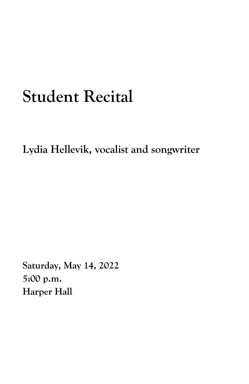## **Student Recital**

**Lydia Hellevik, vocalist and songwriter**

**Saturday, May 14, 2022 5:00 p.m. Harper Hall**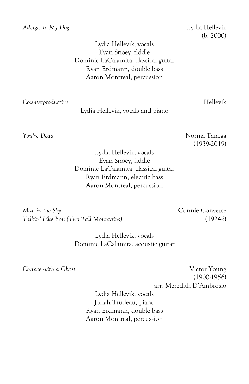*Allergic to My Dog* Lydia Hellevik

(b. 2000)

Lydia Hellevik, vocals Evan Snoey, fiddle Dominic LaCalamita, classical guitar Ryan Erdmann, double bass Aaron Montreal, percussion

*Counterproductive* Hellevik

Lydia Hellevik, vocals and piano

*You're Dead* Norma Tanega (1939-2019)

> Lydia Hellevik, vocals Evan Snoey, fiddle Dominic LaCalamita, classical guitar Ryan Erdmann, electric bass Aaron Montreal, percussion

*Man in the Sky* Connie Converse *Talkin' Like You (Two Tall Mountains)* (1924-?)

Lydia Hellevik, vocals Dominic LaCalamita, acoustic guitar

*Chance with a Ghost* Victor Young (1900-1956) arr. Meredith D'Ambrosio

Lydia Hellevik, vocals Jonah Trudeau, piano Ryan Erdmann, double bass Aaron Montreal, percussion